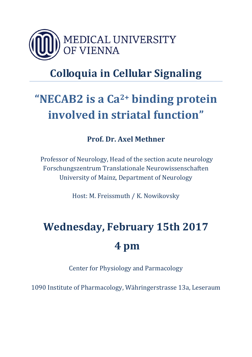

## **Colloquia in Cellular Signaling**

## **"NECAB2 is a Ca2+ binding protein involved in striatal function"**

### **Prof. Dr. Axel Methner**

Professor of Neurology, Head of the section acute neurology Forschungszentrum Translationale Neurowissenschaften University of Mainz, Department of Neurology

Host: M. Freissmuth / K. Nowikovsky

# **Wednesday, February 15th 2017 4 pm**

Center for Physiology and Parmacology

1090 Institute of Pharmacology, Währingerstrasse 13a, Leseraum